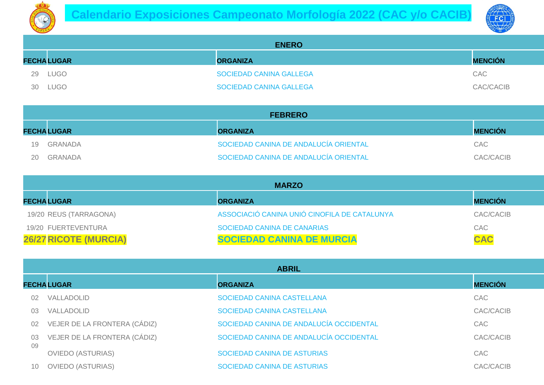



|    | <b>ENERO</b>      |                                |                |  |
|----|-------------------|--------------------------------|----------------|--|
|    | <b>FECHALUGAR</b> | <b>ORGANIZA</b>                | <b>MENCIÓN</b> |  |
|    | 29 LUGO           | <b>SOCIEDAD CANINA GALLEGA</b> | CAC            |  |
| 30 | LUGO              | SOCIEDAD CANINA GALLEGA        | CAC/CACIB      |  |

|    | <b>FEBRERO</b>    |                                       |                |  |
|----|-------------------|---------------------------------------|----------------|--|
|    | <b>FECHALUGAR</b> | <b>ORGANIZA</b>                       | <b>MENCIÓN</b> |  |
|    | 19 GRANADA        | SOCIEDAD CANINA DE ANDALUCÍA ORIENTAL | <b>CAC</b>     |  |
| 20 | <b>GRANADA</b>    | SOCIEDAD CANINA DE ANDALUCÍA ORIENTAL | CAC/CACIB      |  |

| <b>MARZO</b>                 |                                              |                |  |
|------------------------------|----------------------------------------------|----------------|--|
| <b>FECHALUGAR</b>            | <b>ORGANIZA</b>                              | <b>MENCIÓN</b> |  |
| 19/20 REUS (TARRAGONA)       | ASSOCIACIÓ CANINA UNIÓ CINOFILA DE CATALUNYA | CAC/CACIB      |  |
| 19/20 FUERTEVENTURA          | SOCIEDAD CANINA DE CANARIAS                  | CAC            |  |
| <b>26/27 RICOTE (MURCIA)</b> | <b>SOCIEDAD CANINA DE MURCIA</b>             | <b>CAC</b>     |  |

|          | <b>ABRIL</b>                 |                                         |                  |  |
|----------|------------------------------|-----------------------------------------|------------------|--|
|          | <b>FECHALUGAR</b>            | <b>ORGANIZA</b>                         | <b>MENCIÓN</b>   |  |
| 02       | <b>VALLADOLID</b>            | <b>SOCIEDAD CANINA CASTELLANA</b>       | <b>CAC</b>       |  |
| 03       | <b>VALLADOLID</b>            | SOCIEDAD CANINA CASTELLANA              | CAC/CACIB        |  |
| 02       | VEJER DE LA FRONTERA (CÁDIZ) | SOCIEDAD CANINA DE ANDALUCÍA OCCIDENTAL | <b>CAC</b>       |  |
| 03<br>09 | VEJER DE LA FRONTERA (CÁDIZ) | SOCIEDAD CANINA DE ANDALUCÍA OCCIDENTAL | <b>CAC/CACIB</b> |  |
|          | <b>OVIEDO (ASTURIAS)</b>     | <b>SOCIEDAD CANINA DE ASTURIAS</b>      | <b>CAC</b>       |  |
| 10       | <b>OVIEDO (ASTURIAS)</b>     | <b>SOCIEDAD CANINA DE ASTURIAS</b>      | <b>CAC/CACIB</b> |  |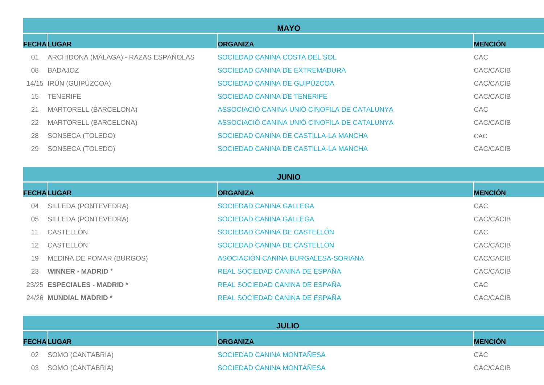|     | <b>MAYO</b>                          |                                              |                  |  |
|-----|--------------------------------------|----------------------------------------------|------------------|--|
|     | <b>FECHALUGAR</b>                    | <b>ORGANIZA</b>                              | <b>MENCIÓN</b>   |  |
| 01  | ARCHIDONA (MÁLAGA) - RAZAS ESPAÑOLAS | SOCIEDAD CANINA COSTA DEL SOL                | <b>CAC</b>       |  |
| 08  | <b>BADAJOZ</b>                       | SOCIEDAD CANINA DE EXTREMADURA               | <b>CAC/CACIB</b> |  |
|     | 14/15 IRÚN (GUIPÚZCOA)               | SOCIEDAD CANINA DE GUIPÚZCOA                 | <b>CAC/CACIB</b> |  |
| 15  | <b>TENERIFE</b>                      | <b>SOCIEDAD CANINA DE TENERIFE</b>           | <b>CAC/CACIB</b> |  |
| -21 | MARTORELL (BARCELONA)                | ASSOCIACIÓ CANINA UNIÓ CINOFILA DE CATALUNYA | <b>CAC</b>       |  |
| -22 | MARTORELL (BARCELONA)                | ASSOCIACIÓ CANINA UNIÓ CINOFILA DE CATALUNYA | <b>CAC/CACIB</b> |  |
| -28 | SONSECA (TOLEDO)                     | SOCIEDAD CANINA DE CASTILLA-LA MANCHA        | <b>CAC</b>       |  |
| 29  | SONSECA (TOLEDO)                     | SOCIEDAD CANINA DE CASTILLA-LA MANCHA        | CAC/CACIB        |  |

|                 | <b>JUNIO</b>                |                                     |                  |  |  |
|-----------------|-----------------------------|-------------------------------------|------------------|--|--|
|                 | <b>FECHALUGAR</b>           | <b>ORGANIZA</b>                     | <b>MENCIÓN</b>   |  |  |
| 04              | SILLEDA (PONTEVEDRA)        | <b>SOCIEDAD CANINA GALLEGA</b>      | <b>CAC</b>       |  |  |
| 05              | SILLEDA (PONTEVEDRA)        | <b>SOCIEDAD CANINA GALLEGA</b>      | <b>CAC/CACIB</b> |  |  |
|                 | CASTELLÓN                   | SOCIEDAD CANINA DE CASTELLÓN        | <b>CAC</b>       |  |  |
| 12 <sup>1</sup> | CASTELLÓN                   | SOCIEDAD CANINA DE CASTELLÓN        | <b>CAC/CACIB</b> |  |  |
| 19              | MEDINA DE POMAR (BURGOS)    | ASOCIACIÓN CANINA BURGALESA-SORIANA | <b>CAC/CACIB</b> |  |  |
| 23.             | <b>WINNER - MADRID *</b>    | REAL SOCIEDAD CANINA DE ESPAÑA      | <b>CAC/CACIB</b> |  |  |
|                 | 23/25 ESPECIALES - MADRID * | REAL SOCIEDAD CANINA DE ESPAÑA      | <b>CAC</b>       |  |  |
|                 | 24/26 MUNDIAL MADRID *      | REAL SOCIEDAD CANINA DE ESPAÑA      | <b>CAC/CACIB</b> |  |  |

| <b>JULIO</b>        |                           |                |  |
|---------------------|---------------------------|----------------|--|
| <b>FECHALUGAR</b>   | <b>ORGANIZA</b>           | <b>MENCIÓN</b> |  |
| 02 SOMO (CANTABRIA) | SOCIEDAD CANINA MONTAÑESA | <b>CAC</b>     |  |
| 03 SOMO (CANTABRIA) | SOCIEDAD CANINA MONTAÑESA | CAC/CACIB      |  |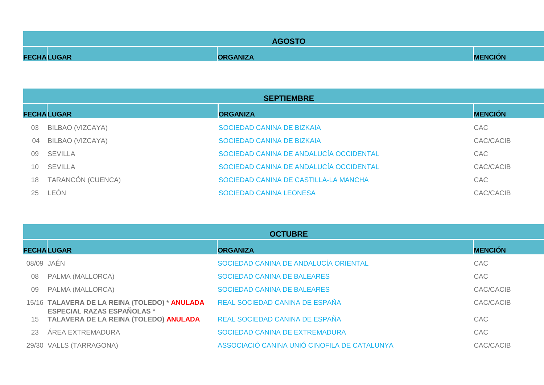|                   | <b>AGOSTO</b>   |                |
|-------------------|-----------------|----------------|
| <b>FECHALUGAR</b> | <b>ORGANIZA</b> | <b>MENCIÓN</b> |

|          | <b>SEPTIEMBRE</b> |                                         |                  |  |  |
|----------|-------------------|-----------------------------------------|------------------|--|--|
|          | <b>FECHALUGAR</b> | <b>ORGANIZA</b>                         | <b>MENCIÓN</b>   |  |  |
| 03       | BILBAO (VIZCAYA)  | SOCIEDAD CANINA DE BIZKAIA              | <b>CAC</b>       |  |  |
| 04       | BILBAO (VIZCAYA)  | SOCIEDAD CANINA DE BIZKAIA              | CAC/CACIB        |  |  |
| 09       | SEVILLA           | SOCIEDAD CANINA DE ANDALUCÍA OCCIDENTAL | <b>CAC</b>       |  |  |
| $10^{-}$ | SEVILLA           | SOCIEDAD CANINA DE ANDALUCÍA OCCIDENTAL | <b>CAC/CACIB</b> |  |  |
| 18       | TARANCÓN (CUENCA) | SOCIEDAD CANINA DE CASTILLA-LA MANCHA   | <b>CAC</b>       |  |  |
| 25       | LEÓN              | <b>SOCIEDAD CANINA LEONESA</b>          | CAC/CACIB        |  |  |

|    | <b>OCTUBRE</b>                                                                     |                                              |                  |  |
|----|------------------------------------------------------------------------------------|----------------------------------------------|------------------|--|
|    | <b>FECHALUGAR</b>                                                                  | <b>ORGANIZA</b>                              | <b>MENCIÓN</b>   |  |
|    | 08/09 JAÉN                                                                         | SOCIEDAD CANINA DE ANDALUCÍA ORIENTAL        | <b>CAC</b>       |  |
| 08 | PALMA (MALLORCA)                                                                   | <b>SOCIEDAD CANINA DE BALEARES</b>           | <b>CAC</b>       |  |
| 09 | PALMA (MALLORCA)                                                                   | SOCIEDAD CANINA DE BALEARES                  | <b>CAC/CACIB</b> |  |
|    | 15/16 TALAVERA DE LA REINA (TOLEDO) * ANULADA<br><b>ESPECIAL RAZAS ESPAÑOLAS *</b> | REAL SOCIEDAD CANINA DE ESPAÑA               | <b>CAC/CACIB</b> |  |
| 15 | TALAVERA DE LA REINA (TOLEDO) ANULADA                                              | REAL SOCIEDAD CANINA DE ESPAÑA               | CAC              |  |
| 23 | ÁREA EXTREMADURA                                                                   | SOCIEDAD CANINA DE EXTREMADURA               | <b>CAC</b>       |  |
|    | 29/30 VALLS (TARRAGONA)                                                            | ASSOCIACIÓ CANINA UNIÓ CINOFILA DE CATALUNYA | <b>CAC/CACIB</b> |  |